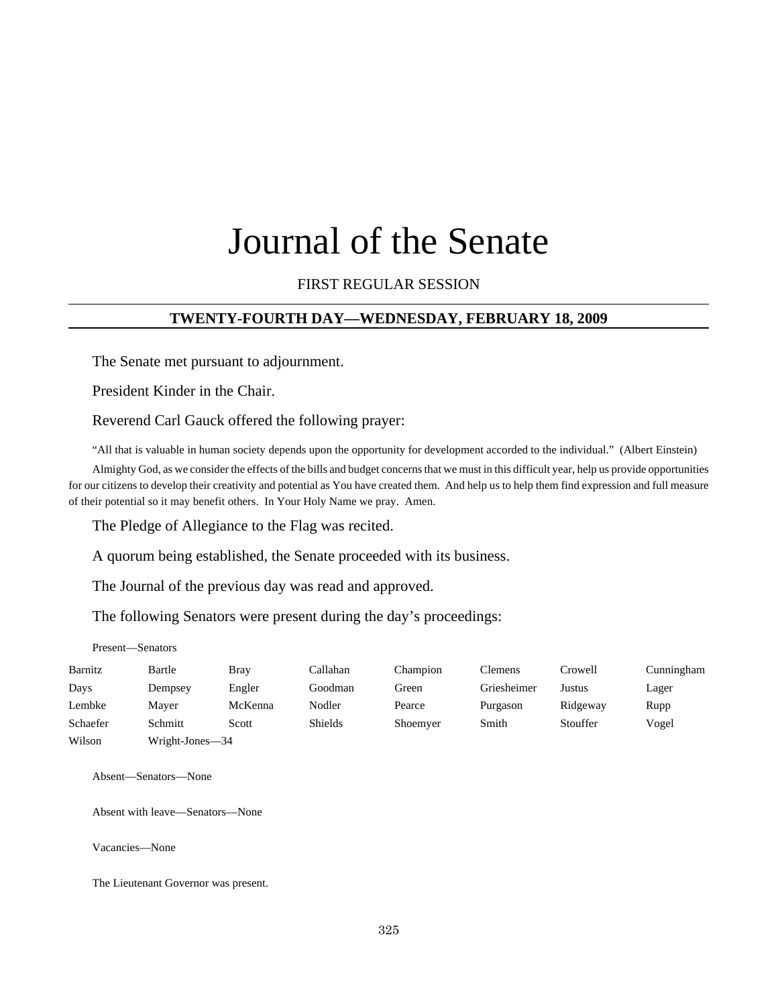# Journal of the Senate

## FIRST REGULAR SESSION

## **TWENTY-FOURTH DAY—WEDNESDAY, FEBRUARY 18, 2009**

The Senate met pursuant to adjournment.

President Kinder in the Chair.

Reverend Carl Gauck offered the following prayer:

"All that is valuable in human society depends upon the opportunity for development accorded to the individual." (Albert Einstein)

Almighty God, as we consider the effects of the bills and budget concerns that we must in this difficult year, help us provide opportunities for our citizens to develop their creativity and potential as You have created them. And help us to help them find expression and full measure of their potential so it may benefit others. In Your Holy Name we pray. Amen.

The Pledge of Allegiance to the Flag was recited.

A quorum being established, the Senate proceeded with its business.

The Journal of the previous day was read and approved.

The following Senators were present during the day's proceedings:

Present—Senators

| Barnitz  | Bartle          | <b>Bray</b> | Callahan       | Champion | <b>Clemens</b> | Crowell  | Cunningham |
|----------|-----------------|-------------|----------------|----------|----------------|----------|------------|
| Days     | Dempsey         | Engler      | Goodman        | Green    | Griesheimer    | Justus   | Lager      |
| Lembke   | Maver           | McKenna     | Nodler         | Pearce   | Purgason       | Ridgeway | Rupp       |
| Schaefer | Schmitt         | Scott       | <b>Shields</b> | Shoemyer | Smith          | Stouffer | Vogel      |
| Wilson   | Wright-Jones—34 |             |                |          |                |          |            |

Absent—Senators—None

Absent with leave—Senators—None

Vacancies—None

The Lieutenant Governor was present.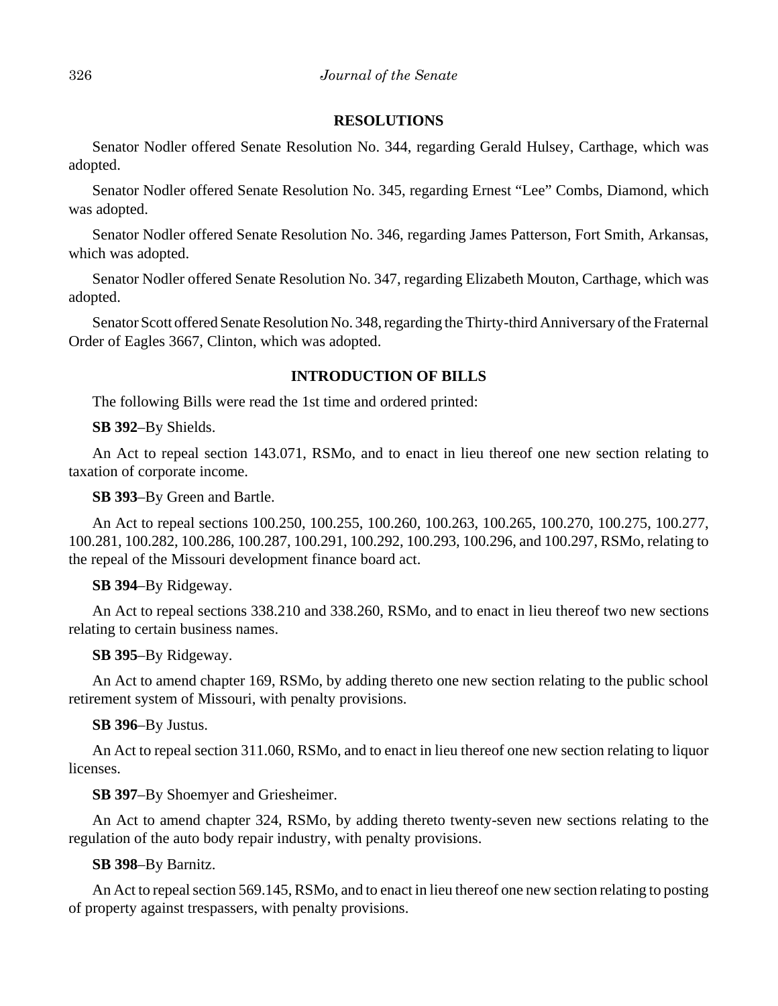## **RESOLUTIONS**

Senator Nodler offered Senate Resolution No. 344, regarding Gerald Hulsey, Carthage, which was adopted.

Senator Nodler offered Senate Resolution No. 345, regarding Ernest "Lee" Combs, Diamond, which was adopted.

Senator Nodler offered Senate Resolution No. 346, regarding James Patterson, Fort Smith, Arkansas, which was adopted.

Senator Nodler offered Senate Resolution No. 347, regarding Elizabeth Mouton, Carthage, which was adopted.

Senator Scott offered Senate Resolution No. 348, regarding the Thirty-third Anniversary of the Fraternal Order of Eagles 3667, Clinton, which was adopted.

## **INTRODUCTION OF BILLS**

The following Bills were read the 1st time and ordered printed:

**SB 392**–By Shields.

An Act to repeal section 143.071, RSMo, and to enact in lieu thereof one new section relating to taxation of corporate income.

**SB 393**–By Green and Bartle.

An Act to repeal sections 100.250, 100.255, 100.260, 100.263, 100.265, 100.270, 100.275, 100.277, 100.281, 100.282, 100.286, 100.287, 100.291, 100.292, 100.293, 100.296, and 100.297, RSMo, relating to the repeal of the Missouri development finance board act.

## **SB 394**–By Ridgeway.

An Act to repeal sections 338.210 and 338.260, RSMo, and to enact in lieu thereof two new sections relating to certain business names.

**SB 395**–By Ridgeway.

An Act to amend chapter 169, RSMo, by adding thereto one new section relating to the public school retirement system of Missouri, with penalty provisions.

#### **SB 396**–By Justus.

An Act to repeal section 311.060, RSMo, and to enact in lieu thereof one new section relating to liquor licenses.

**SB 397**–By Shoemyer and Griesheimer.

An Act to amend chapter 324, RSMo, by adding thereto twenty-seven new sections relating to the regulation of the auto body repair industry, with penalty provisions.

## **SB 398**–By Barnitz.

An Act to repeal section 569.145, RSMo, and to enact in lieu thereof one new section relating to posting of property against trespassers, with penalty provisions.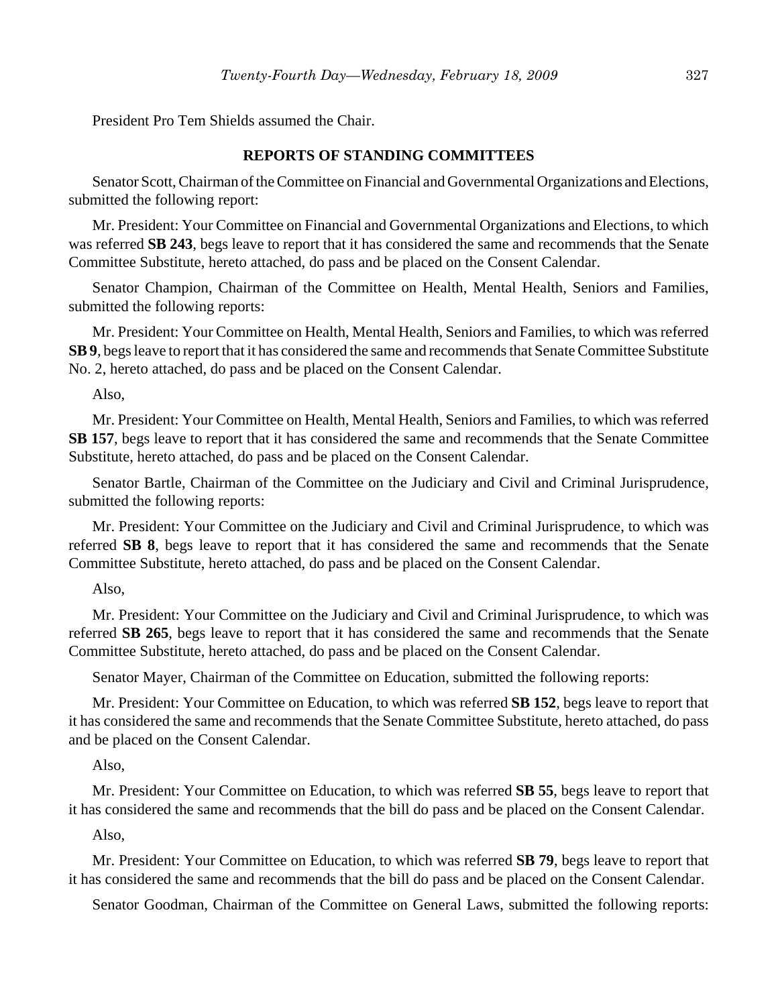President Pro Tem Shields assumed the Chair.

## **REPORTS OF STANDING COMMITTEES**

Senator Scott, Chairman of the Committee on Financial and Governmental Organizations and Elections, submitted the following report:

Mr. President: Your Committee on Financial and Governmental Organizations and Elections, to which was referred **SB 243**, begs leave to report that it has considered the same and recommends that the Senate Committee Substitute, hereto attached, do pass and be placed on the Consent Calendar.

Senator Champion, Chairman of the Committee on Health, Mental Health, Seniors and Families, submitted the following reports:

Mr. President: Your Committee on Health, Mental Health, Seniors and Families, to which was referred **SB 9**, begs leave to report that it has considered the same and recommends that Senate Committee Substitute No. 2, hereto attached, do pass and be placed on the Consent Calendar.

Also,

Mr. President: Your Committee on Health, Mental Health, Seniors and Families, to which was referred **SB 157**, begs leave to report that it has considered the same and recommends that the Senate Committee Substitute, hereto attached, do pass and be placed on the Consent Calendar.

Senator Bartle, Chairman of the Committee on the Judiciary and Civil and Criminal Jurisprudence, submitted the following reports:

Mr. President: Your Committee on the Judiciary and Civil and Criminal Jurisprudence, to which was referred **SB 8**, begs leave to report that it has considered the same and recommends that the Senate Committee Substitute, hereto attached, do pass and be placed on the Consent Calendar.

Also,

Mr. President: Your Committee on the Judiciary and Civil and Criminal Jurisprudence, to which was referred **SB 265**, begs leave to report that it has considered the same and recommends that the Senate Committee Substitute, hereto attached, do pass and be placed on the Consent Calendar.

Senator Mayer, Chairman of the Committee on Education, submitted the following reports:

Mr. President: Your Committee on Education, to which was referred **SB 152**, begs leave to report that it has considered the same and recommends that the Senate Committee Substitute, hereto attached, do pass and be placed on the Consent Calendar.

Also,

Mr. President: Your Committee on Education, to which was referred **SB 55**, begs leave to report that it has considered the same and recommends that the bill do pass and be placed on the Consent Calendar.

Also,

Mr. President: Your Committee on Education, to which was referred **SB 79**, begs leave to report that it has considered the same and recommends that the bill do pass and be placed on the Consent Calendar.

Senator Goodman, Chairman of the Committee on General Laws, submitted the following reports: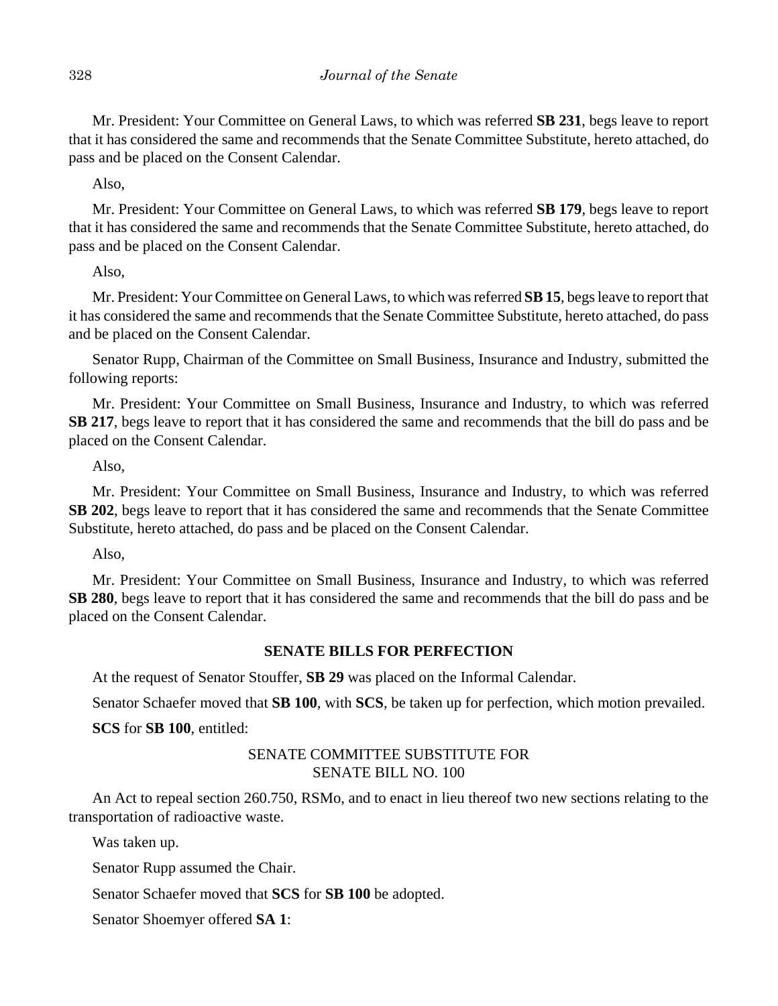Mr. President: Your Committee on General Laws, to which was referred **SB 231**, begs leave to report that it has considered the same and recommends that the Senate Committee Substitute, hereto attached, do pass and be placed on the Consent Calendar.

Also,

Mr. President: Your Committee on General Laws, to which was referred **SB 179**, begs leave to report that it has considered the same and recommends that the Senate Committee Substitute, hereto attached, do pass and be placed on the Consent Calendar.

Also,

Mr. President: Your Committee on General Laws, to which was referred **SB 15**, begs leave to report that it has considered the same and recommends that the Senate Committee Substitute, hereto attached, do pass and be placed on the Consent Calendar.

Senator Rupp, Chairman of the Committee on Small Business, Insurance and Industry, submitted the following reports:

Mr. President: Your Committee on Small Business, Insurance and Industry, to which was referred **SB 217**, begs leave to report that it has considered the same and recommends that the bill do pass and be placed on the Consent Calendar.

Also,

Mr. President: Your Committee on Small Business, Insurance and Industry, to which was referred **SB 202**, begs leave to report that it has considered the same and recommends that the Senate Committee Substitute, hereto attached, do pass and be placed on the Consent Calendar.

Also,

Mr. President: Your Committee on Small Business, Insurance and Industry, to which was referred **SB 280**, begs leave to report that it has considered the same and recommends that the bill do pass and be placed on the Consent Calendar.

# **SENATE BILLS FOR PERFECTION**

At the request of Senator Stouffer, **SB 29** was placed on the Informal Calendar.

Senator Schaefer moved that **SB 100**, with **SCS**, be taken up for perfection, which motion prevailed.

**SCS** for **SB 100**, entitled:

# SENATE COMMITTEE SUBSTITUTE FOR SENATE BILL NO. 100

An Act to repeal section 260.750, RSMo, and to enact in lieu thereof two new sections relating to the transportation of radioactive waste.

Was taken up.

Senator Rupp assumed the Chair.

Senator Schaefer moved that **SCS** for **SB 100** be adopted.

Senator Shoemyer offered **SA 1**: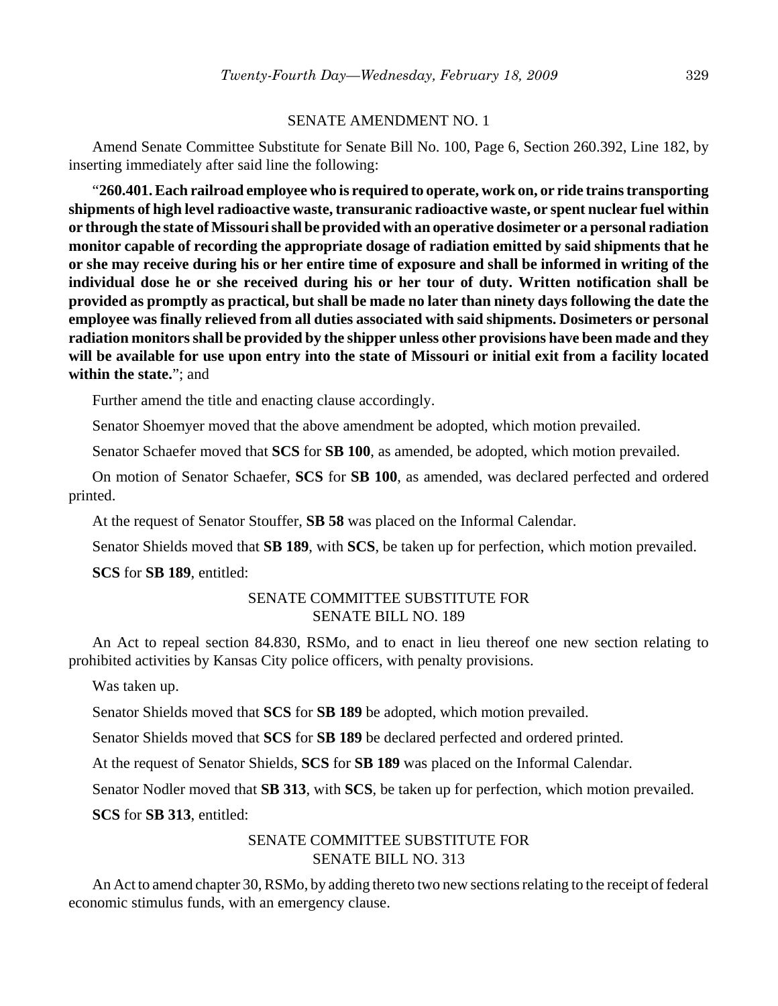### SENATE AMENDMENT NO. 1

Amend Senate Committee Substitute for Senate Bill No. 100, Page 6, Section 260.392, Line 182, by inserting immediately after said line the following:

"**260.401. Each railroad employee who is required to operate, work on, or ride trains transporting shipments of high level radioactive waste, transuranic radioactive waste, or spent nuclear fuel within or through the state of Missouri shall be provided with an operative dosimeter or a personal radiation monitor capable of recording the appropriate dosage of radiation emitted by said shipments that he or she may receive during his or her entire time of exposure and shall be informed in writing of the individual dose he or she received during his or her tour of duty. Written notification shall be provided as promptly as practical, but shall be made no later than ninety days following the date the employee was finally relieved from all duties associated with said shipments. Dosimeters or personal radiation monitors shall be provided by the shipper unless other provisions have been made and they will be available for use upon entry into the state of Missouri or initial exit from a facility located within the state.**"; and

Further amend the title and enacting clause accordingly.

Senator Shoemyer moved that the above amendment be adopted, which motion prevailed.

Senator Schaefer moved that **SCS** for **SB 100**, as amended, be adopted, which motion prevailed.

On motion of Senator Schaefer, **SCS** for **SB 100**, as amended, was declared perfected and ordered printed.

At the request of Senator Stouffer, **SB 58** was placed on the Informal Calendar.

Senator Shields moved that **SB 189**, with **SCS**, be taken up for perfection, which motion prevailed.

**SCS** for **SB 189**, entitled:

# SENATE COMMITTEE SUBSTITUTE FOR SENATE BILL NO. 189

An Act to repeal section 84.830, RSMo, and to enact in lieu thereof one new section relating to prohibited activities by Kansas City police officers, with penalty provisions.

Was taken up.

Senator Shields moved that **SCS** for **SB 189** be adopted, which motion prevailed.

Senator Shields moved that **SCS** for **SB 189** be declared perfected and ordered printed.

At the request of Senator Shields, **SCS** for **SB 189** was placed on the Informal Calendar.

Senator Nodler moved that **SB 313**, with **SCS**, be taken up for perfection, which motion prevailed.

**SCS** for **SB 313**, entitled:

# SENATE COMMITTEE SUBSTITUTE FOR SENATE BILL NO. 313

An Act to amend chapter 30, RSMo, by adding thereto two new sections relating to the receipt of federal economic stimulus funds, with an emergency clause.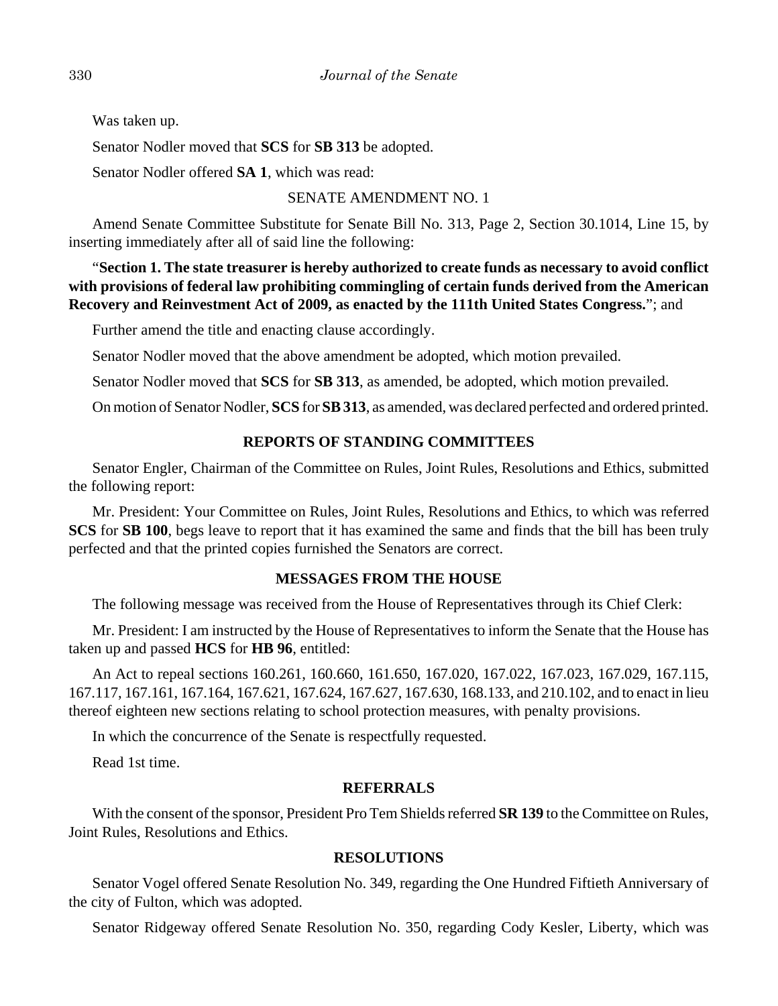Was taken up.

Senator Nodler moved that **SCS** for **SB 313** be adopted.

Senator Nodler offered **SA 1**, which was read:

# SENATE AMENDMENT NO. 1

Amend Senate Committee Substitute for Senate Bill No. 313, Page 2, Section 30.1014, Line 15, by inserting immediately after all of said line the following:

"**Section 1. The state treasurer is hereby authorized to create funds as necessary to avoid conflict with provisions of federal law prohibiting commingling of certain funds derived from the American Recovery and Reinvestment Act of 2009, as enacted by the 111th United States Congress.**"; and

Further amend the title and enacting clause accordingly.

Senator Nodler moved that the above amendment be adopted, which motion prevailed.

Senator Nodler moved that **SCS** for **SB 313**, as amended, be adopted, which motion prevailed.

On motion of Senator Nodler, **SCS** for **SB 313**, as amended, was declared perfected and ordered printed.

# **REPORTS OF STANDING COMMITTEES**

Senator Engler, Chairman of the Committee on Rules, Joint Rules, Resolutions and Ethics, submitted the following report:

Mr. President: Your Committee on Rules, Joint Rules, Resolutions and Ethics, to which was referred **SCS** for **SB 100**, begs leave to report that it has examined the same and finds that the bill has been truly perfected and that the printed copies furnished the Senators are correct.

# **MESSAGES FROM THE HOUSE**

The following message was received from the House of Representatives through its Chief Clerk:

Mr. President: I am instructed by the House of Representatives to inform the Senate that the House has taken up and passed **HCS** for **HB 96**, entitled:

An Act to repeal sections 160.261, 160.660, 161.650, 167.020, 167.022, 167.023, 167.029, 167.115, 167.117, 167.161, 167.164, 167.621, 167.624, 167.627, 167.630, 168.133, and 210.102, and to enact in lieu thereof eighteen new sections relating to school protection measures, with penalty provisions.

In which the concurrence of the Senate is respectfully requested.

Read 1st time.

# **REFERRALS**

With the consent of the sponsor, President Pro Tem Shields referred **SR 139** to the Committee on Rules, Joint Rules, Resolutions and Ethics.

# **RESOLUTIONS**

Senator Vogel offered Senate Resolution No. 349, regarding the One Hundred Fiftieth Anniversary of the city of Fulton, which was adopted.

Senator Ridgeway offered Senate Resolution No. 350, regarding Cody Kesler, Liberty, which was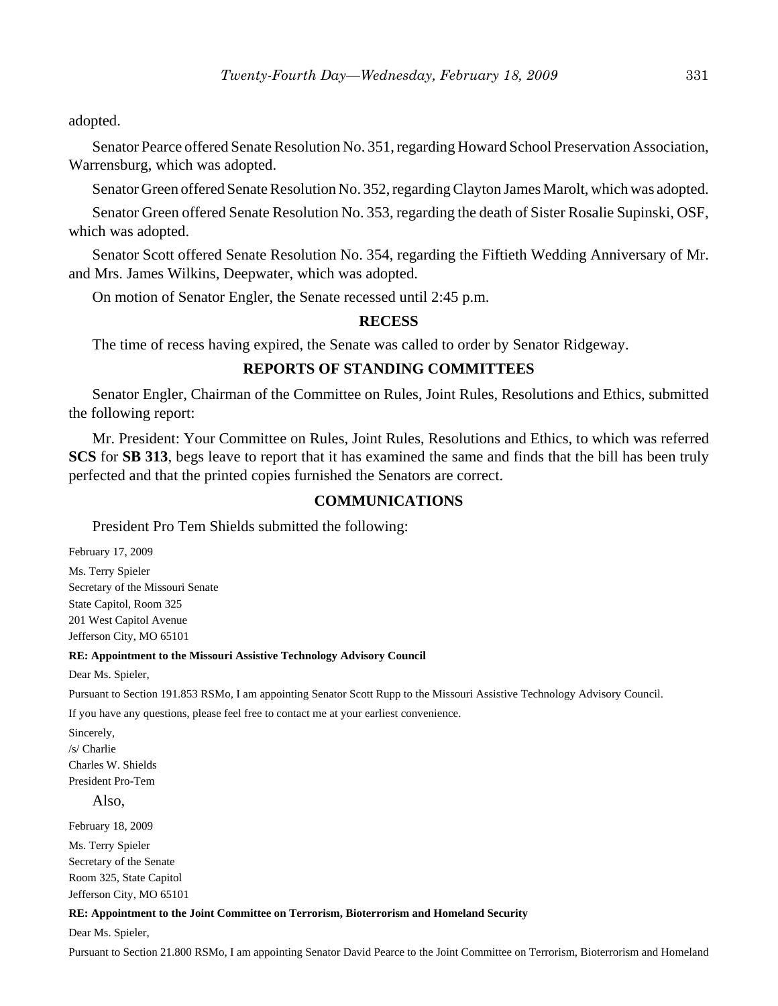adopted.

Senator Pearce offered Senate Resolution No. 351, regarding Howard School Preservation Association, Warrensburg, which was adopted.

Senator Green offered Senate Resolution No. 352, regarding Clayton James Marolt, which was adopted.

Senator Green offered Senate Resolution No. 353, regarding the death of Sister Rosalie Supinski, OSF, which was adopted.

Senator Scott offered Senate Resolution No. 354, regarding the Fiftieth Wedding Anniversary of Mr. and Mrs. James Wilkins, Deepwater, which was adopted.

On motion of Senator Engler, the Senate recessed until 2:45 p.m.

## **RECESS**

The time of recess having expired, the Senate was called to order by Senator Ridgeway.

## **REPORTS OF STANDING COMMITTEES**

Senator Engler, Chairman of the Committee on Rules, Joint Rules, Resolutions and Ethics, submitted the following report:

Mr. President: Your Committee on Rules, Joint Rules, Resolutions and Ethics, to which was referred **SCS** for **SB 313**, begs leave to report that it has examined the same and finds that the bill has been truly perfected and that the printed copies furnished the Senators are correct.

#### **COMMUNICATIONS**

President Pro Tem Shields submitted the following:

February 17, 2009 Ms. Terry Spieler Secretary of the Missouri Senate State Capitol, Room 325 201 West Capitol Avenue Jefferson City, MO 65101

#### **RE: Appointment to the Missouri Assistive Technology Advisory Council**

Dear Ms. Spieler,

Pursuant to Section 191.853 RSMo, I am appointing Senator Scott Rupp to the Missouri Assistive Technology Advisory Council.

If you have any questions, please feel free to contact me at your earliest convenience.

Sincerely, /s/ Charlie Charles W. Shields President Pro-Tem

Also,

February 18, 2009

Ms. Terry Spieler Secretary of the Senate Room 325, State Capitol Jefferson City, MO 65101

#### **RE: Appointment to the Joint Committee on Terrorism, Bioterrorism and Homeland Security**

Dear Ms. Spieler,

Pursuant to Section 21.800 RSMo, I am appointing Senator David Pearce to the Joint Committee on Terrorism, Bioterrorism and Homeland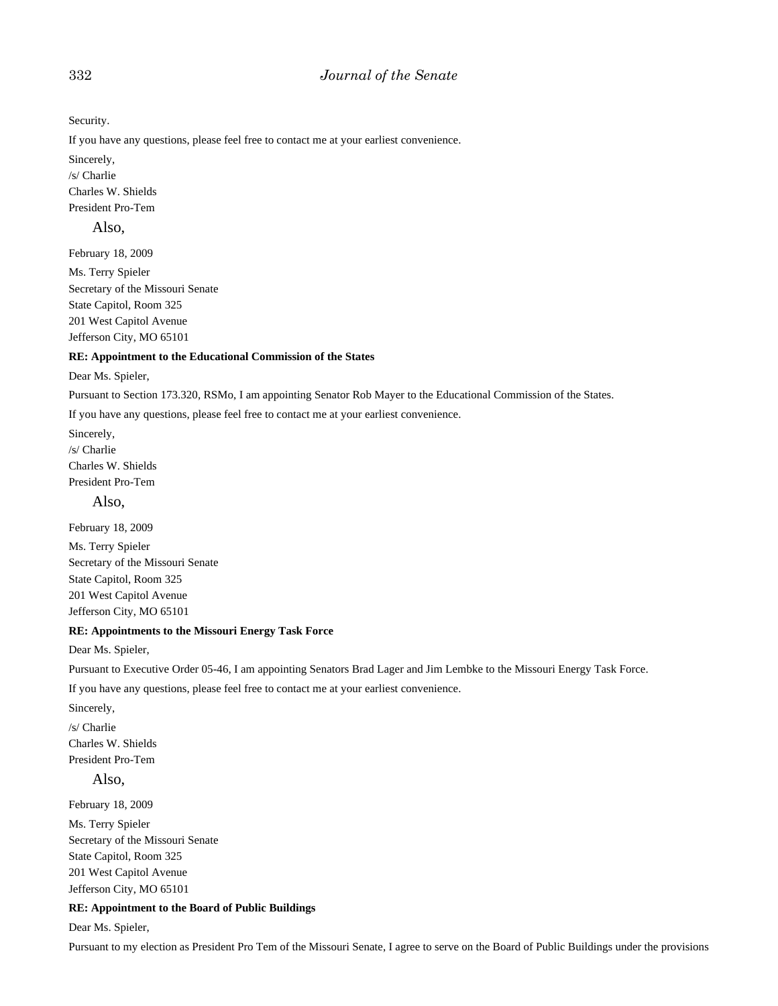## 332 *Journal of the Senate*

Security.

If you have any questions, please feel free to contact me at your earliest convenience.

Sincerely, /s/ Charlie Charles W. Shields President Pro-Tem

#### Also,

February 18, 2009

Ms. Terry Spieler Secretary of the Missouri Senate State Capitol, Room 325 201 West Capitol Avenue Jefferson City, MO 65101

#### **RE: Appointment to the Educational Commission of the States**

#### Dear Ms. Spieler,

Pursuant to Section 173.320, RSMo, I am appointing Senator Rob Mayer to the Educational Commission of the States.

If you have any questions, please feel free to contact me at your earliest convenience.

Sincerely, /s/ Charlie Charles W. Shields President Pro-Tem

Also,

February 18, 2009 Ms. Terry Spieler Secretary of the Missouri Senate State Capitol, Room 325 201 West Capitol Avenue Jefferson City, MO 65101

#### **RE: Appointments to the Missouri Energy Task Force**

Dear Ms. Spieler,

Pursuant to Executive Order 05-46, I am appointing Senators Brad Lager and Jim Lembke to the Missouri Energy Task Force.

If you have any questions, please feel free to contact me at your earliest convenience.

Sincerely, /s/ Charlie Charles W. Shields President Pro-Tem

Also,

February 18, 2009

Ms. Terry Spieler Secretary of the Missouri Senate State Capitol, Room 325 201 West Capitol Avenue Jefferson City, MO 65101

#### **RE: Appointment to the Board of Public Buildings**

Dear Ms. Spieler,

Pursuant to my election as President Pro Tem of the Missouri Senate, I agree to serve on the Board of Public Buildings under the provisions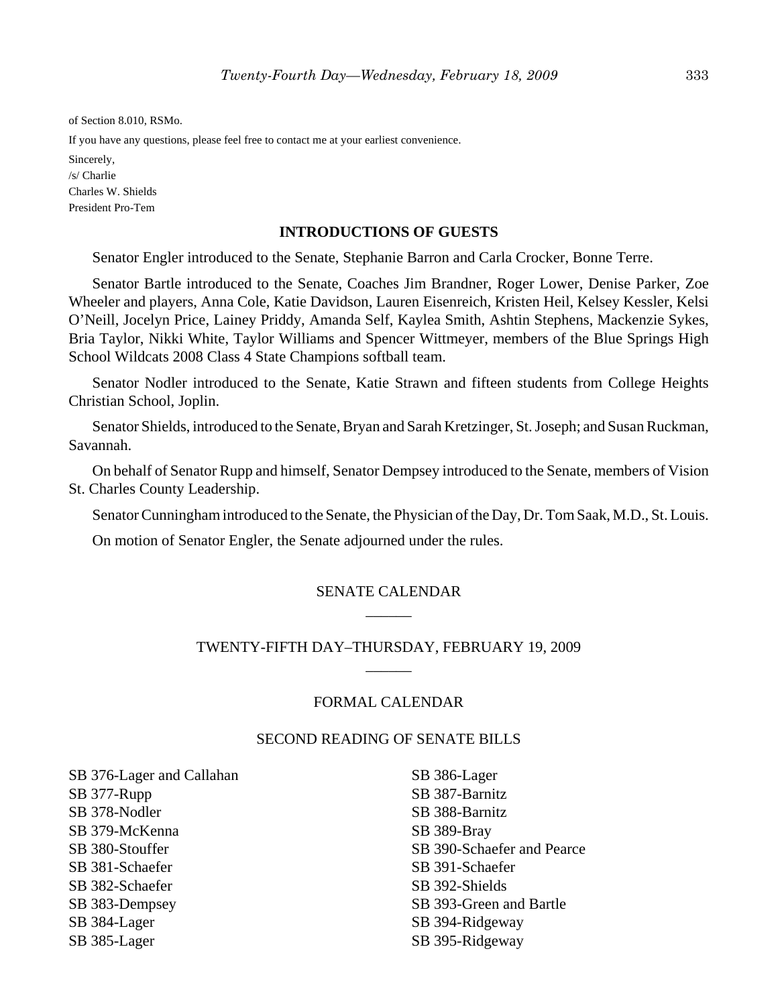of Section 8.010, RSMo.

If you have any questions, please feel free to contact me at your earliest convenience.

Sincerely, /s/ Charlie Charles W. Shields President Pro-Tem

#### **INTRODUCTIONS OF GUESTS**

Senator Engler introduced to the Senate, Stephanie Barron and Carla Crocker, Bonne Terre.

Senator Bartle introduced to the Senate, Coaches Jim Brandner, Roger Lower, Denise Parker, Zoe Wheeler and players, Anna Cole, Katie Davidson, Lauren Eisenreich, Kristen Heil, Kelsey Kessler, Kelsi O'Neill, Jocelyn Price, Lainey Priddy, Amanda Self, Kaylea Smith, Ashtin Stephens, Mackenzie Sykes, Bria Taylor, Nikki White, Taylor Williams and Spencer Wittmeyer, members of the Blue Springs High School Wildcats 2008 Class 4 State Champions softball team.

Senator Nodler introduced to the Senate, Katie Strawn and fifteen students from College Heights Christian School, Joplin.

Senator Shields, introduced to the Senate, Bryan and Sarah Kretzinger, St. Joseph; and Susan Ruckman, Savannah.

On behalf of Senator Rupp and himself, Senator Dempsey introduced to the Senate, members of Vision St. Charles County Leadership.

Senator Cunningham introduced to the Senate, the Physician of the Day, Dr. Tom Saak, M.D., St. Louis.

On motion of Senator Engler, the Senate adjourned under the rules.

## SENATE CALENDAR  $\overline{\phantom{a}}$

# TWENTY-FIFTH DAY–THURSDAY, FEBRUARY 19, 2009  $\overline{\phantom{a}}$

## FORMAL CALENDAR

## SECOND READING OF SENATE BILLS

SB 376-Lager and Callahan SB 377-Rupp SB 378-Nodler SB 379-McKenna SB 380-Stouffer SB 381-Schaefer SB 382-Schaefer SB 383-Dempsey SB 384-Lager SB 385-Lager

SB 386-Lager SB 387-Barnitz SB 388-Barnitz SB 389-Bray SB 390-Schaefer and Pearce SB 391-Schaefer SB 392-Shields SB 393-Green and Bartle SB 394-Ridgeway SB 395-Ridgeway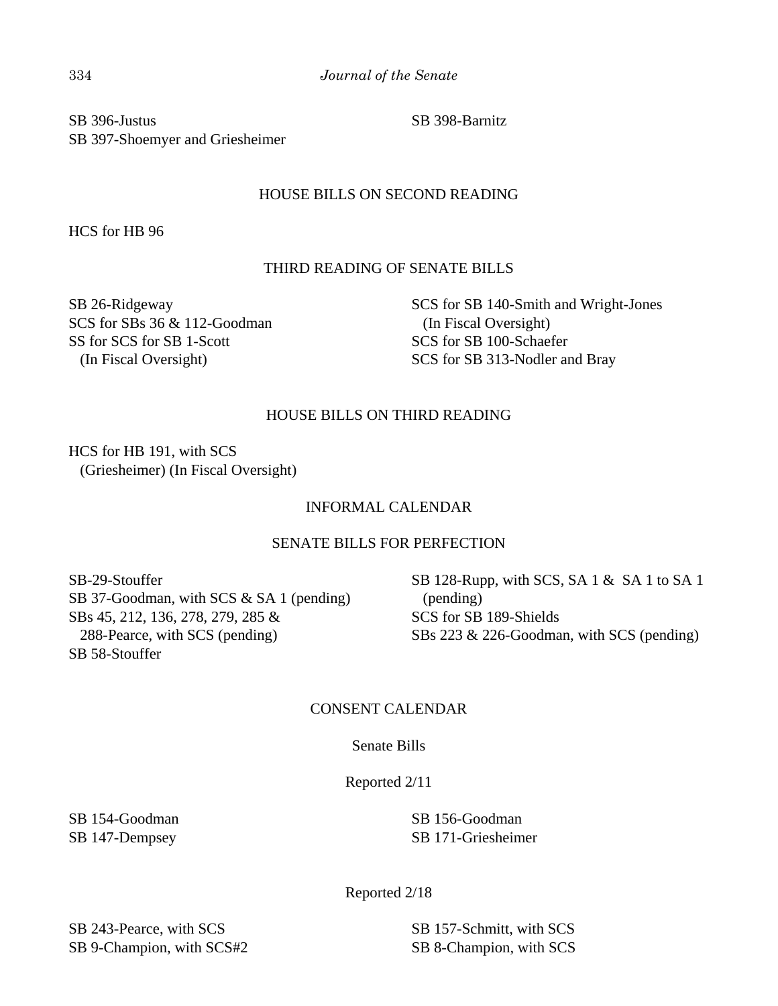SB 396-Justus SB 397-Shoemyer and Griesheimer SB 398-Barnitz

# HOUSE BILLS ON SECOND READING

HCS for HB 96

# THIRD READING OF SENATE BILLS

SB 26-Ridgeway SCS for SBs 36 & 112-Goodman SS for SCS for SB 1-Scott (In Fiscal Oversight)

SCS for SB 140-Smith and Wright-Jones (In Fiscal Oversight) SCS for SB 100-Schaefer SCS for SB 313-Nodler and Bray

# HOUSE BILLS ON THIRD READING

HCS for HB 191, with SCS (Griesheimer) (In Fiscal Oversight)

# INFORMAL CALENDAR

# SENATE BILLS FOR PERFECTION

SB-29-Stouffer SB 37-Goodman, with SCS & SA 1 (pending) SBs 45, 212, 136, 278, 279, 285 & 288-Pearce, with SCS (pending) SB 58-Stouffer

SB 128-Rupp, with SCS, SA 1 & SA 1 to SA 1 (pending) SCS for SB 189-Shields SBs 223 & 226-Goodman, with SCS (pending)

# CONSENT CALENDAR

Senate Bills

Reported 2/11

SB 154-Goodman SB 147-Dempsey

SB 156-Goodman SB 171-Griesheimer

Reported 2/18

SB 243-Pearce, with SCS SB 9-Champion, with SCS#2

SB 157-Schmitt, with SCS SB 8-Champion, with SCS